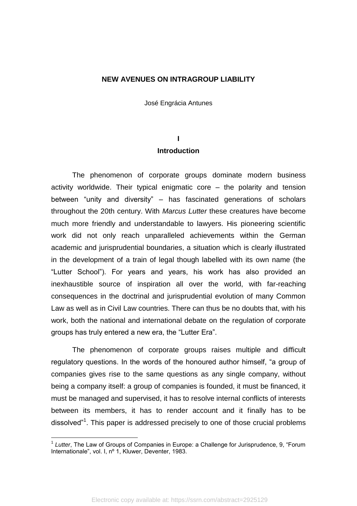#### **NEW AVENUES ON INTRAGROUP LIABILITY**

José Engrácia Antunes

## **I Introduction**

The phenomenon of corporate groups dominate modern business activity worldwide. Their typical enigmatic core – the polarity and tension between "unity and diversity" – has fascinated generations of scholars throughout the 20th century. With *Marcus Lutter* these creatures have become much more friendly and understandable to lawyers. His pioneering scientific work did not only reach unparalleled achievements within the German academic and jurisprudential boundaries, a situation which is clearly illustrated in the development of a train of legal though labelled with its own name (the "Lutter School"). For years and years, his work has also provided an inexhaustible source of inspiration all over the world, with far-reaching consequences in the doctrinal and jurisprudential evolution of many Common Law as well as in Civil Law countries. There can thus be no doubts that, with his work, both the national and international debate on the regulation of corporate groups has truly entered a new era, the "Lutter Era".

The phenomenon of corporate groups raises multiple and difficult regulatory questions. In the words of the honoured author himself, "a group of companies gives rise to the same questions as any single company, without being a company itself: a group of companies is founded, it must be financed, it must be managed and supervised, it has to resolve internal conflicts of interests between its members, it has to render account and it finally has to be dissolved"<sup>1</sup>. This paper is addressed precisely to one of those crucial problems

<sup>1</sup> *Lutter*, The Law of Groups of Companies in Europe: a Challenge for Jurisprudence, 9, "Forum Internationale", vol. I, nº 1, Kluwer, Deventer, 1983.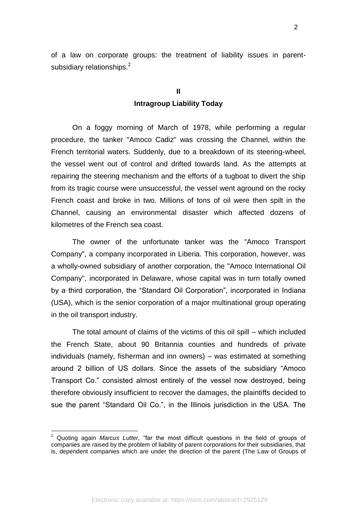of a law on corporate groups: the treatment of liability issues in parentsubsidiary relationships.<sup>2</sup>

## **II Intragroup Liability Today**

On a foggy morning of March of 1978, while performing a regular procedure, the tanker "Amoco Cadiz" was crossing the Channel, within the French territorial waters. Suddenly, due to a breakdown of its steering-wheel, the vessel went out of control and drifted towards land. As the attempts at repairing the steering mechanism and the efforts of a tugboat to divert the ship from its tragic course were unsuccessful, the vessel went aground on the rocky French coast and broke in two. Millions of tons of oil were then spilt in the Channel, causing an environmental disaster which affected dozens of kilometres of the French sea coast.

The owner of the unfortunate tanker was the "Amoco Transport Company", a company incorporated in Liberia. This corporation, however, was a wholly-owned subsidiary of another corporation, the "Amoco International Oil Company", incorporated in Delaware, whose capital was in turn totally owned by a third corporation, the "Standard Oil Corporation", incorporated in Indiana (USA), which is the senior corporation of a major multinational group operating in the oil transport industry.

The total amount of claims of the victims of this oil spill – which included the French State, about 90 Britannia counties and hundreds of private individuals (namely, fisherman and inn owners) – was estimated at something around 2 billion of US dollars. Since the assets of the subsidiary "Amoco Transport Co." consisted almost entirely of the vessel now destroyed, being therefore obviously insufficient to recover the damages, the plaintiffs decided to sue the parent "Standard Oil Co.", in the Illinois jurisdiction in the USA. The

<sup>2</sup> Quoting again *Marcus Lutter*, "far the most difficult questions in the field of groups of companies are raised by the problem of liability of parent corporations for their subsidiaries, that is, dependent companies which are under the direction of the parent (The Law of Groups of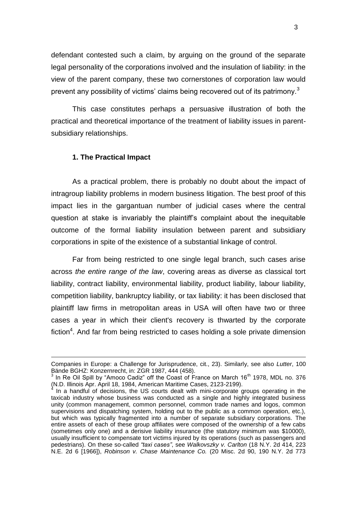defendant contested such a claim, by arguing on the ground of the separate legal personality of the corporations involved and the insulation of liability: in the view of the parent company, these two cornerstones of corporation law would prevent any possibility of victims' claims being recovered out of its patrimony.<sup>3</sup>

This case constitutes perhaps a persuasive illustration of both the practical and theoretical importance of the treatment of liability issues in parentsubsidiary relationships.

#### **1. The Practical Impact**

<u>.</u>

As a practical problem, there is probably no doubt about the impact of intragroup liability problems in modern business litigation. The best proof of this impact lies in the gargantuan number of judicial cases where the central question at stake is invariably the plaintiff's complaint about the inequitable outcome of the formal liability insulation between parent and subsidiary corporations in spite of the existence of a substantial linkage of control.

Far from being restricted to one single legal branch, such cases arise across *the entire range of the law*, covering areas as diverse as classical tort liability, contract liability, environmental liability, product liability, labour liability, competition liability, bankruptcy liability, or tax liability: it has been disclosed that plaintiff law firms in metropolitan areas in USA will often have two or three cases a year in which their client's recovery is thwarted by the corporate fiction<sup>4</sup>. And far from being restricted to cases holding a sole private dimension

Companies in Europe: a Challenge for Jurisprudence, cit., 23). Similarly, see also *Lutter*, 100 Bände BGHZ: Konzernrecht, in: ZGR 1987, 444 (458).

<sup>3</sup> In Re Oil Spill by "Amoco Cadiz" off the Coast of France on March 16<sup>th</sup> 1978, MDL no. 376 (N.D. Illinois Apr. April 18, 1984, American Maritime Cases, 2123-2199). 4

In a handful of decisions, the US courts dealt with mini-corporate groups operating in the taxicab industry whose business was conducted as a single and highly integrated business unity (common management, common personnel, common trade names and logos, common supervisions and dispatching system, holding out to the public as a common operation, etc.), but which was typically fragmented into a number of separate subsidiary corporations. The entire assets of each of these group affiliates were composed of the ownership of a few cabs (sometimes only one) and a derisive liability insurance (the statutory minimum was \$10000), usually insufficient to compensate tort victims injured by its operations (such as passengers and pedestrians). On these so-called *"taxi cases"*, see *Walkovszky v. Carlton* (18 N.Y. 2d 414, 223 N.E. 2d 6 [1966]), *Robinson v. Chase Maintenance Co.* (20 Misc. 2d 90, 190 N.Y. 2d 773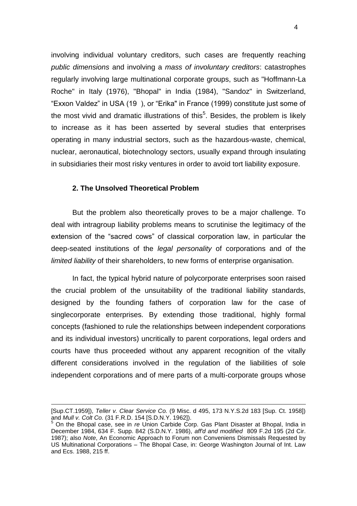involving individual voluntary creditors, such cases are frequently reaching *public dimensions* and involving a *mass of involuntary creditors*: catastrophes regularly involving large multinational corporate groups, such as "Hoffmann-La Roche" in Italy (1976), "Bhopal" in India (1984), "Sandoz" in Switzerland, "Exxon Valdez" in USA (19 ), or "Erika" in France (1999) constitute just some of the most vivid and dramatic illustrations of this<sup>5</sup>. Besides, the problem is likely to increase as it has been asserted by several studies that enterprises operating in many industrial sectors, such as the hazardous-waste, chemical, nuclear, aeronautical, biotechnology sectors, usually expand through insulating in subsidiaries their most risky ventures in order to avoid tort liability exposure.

#### **2. The Unsolved Theoretical Problem**

-

But the problem also theoretically proves to be a major challenge. To deal with intragroup liability problems means to scrutinise the legitimacy of the extension of the "sacred cows" of classical corporation law, in particular the deep-seated institutions of the *legal personality* of corporations and of the *limited liability* of their shareholders, to new forms of enterprise organisation.

In fact, the typical hybrid nature of polycorporate enterprises soon raised the crucial problem of the unsuitability of the traditional liability standards, designed by the founding fathers of corporation law for the case of singlecorporate enterprises. By extending those traditional, highly formal concepts (fashioned to rule the relationships between independent corporations and its individual investors) uncritically to parent corporations, legal orders and courts have thus proceeded without any apparent recognition of the vitally different considerations involved in the regulation of the liabilities of sole independent corporations and of mere parts of a multi-corporate groups whose

<sup>[</sup>Sup.CT.1959]), *Teller v. Clear Service Co.* (9 Misc. d 495, 173 N.Y.S.2d 183 [Sup. Ct. 1958]) and *Mull v. Colt Co.* (31 F.R.D. 154 [S.D.N.Y. 1962]).

<sup>5</sup> On the Bhopal case, see in *re* Union Carbide Corp. Gas Plant Disaster at Bhopal, India in December 1984, 634 F. Supp. 842 (S.D.N.Y. 1986), *aff'd and modified* 809 F.2d 195 (2d Cir. 1987); also *Note*, An Economic Approach to Forum non Conveniens Dismissals Requested by US Multinational Corporations – The Bhopal Case, in: George Washington Journal of Int. Law and Ecs. 1988, 215 ff.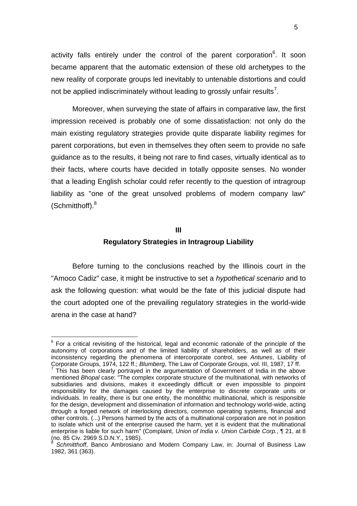activity falls entirely under the control of the parent corporation<sup>6</sup>. It soon became apparent that the automatic extension of these old archetypes to the new reality of corporate groups led inevitably to untenable distortions and could not be applied indiscriminately without leading to grossly unfair results<sup>7</sup>.

Moreover, when surveying the state of affairs in comparative law, the first impression received is probably one of some dissatisfaction: not only do the main existing regulatory strategies provide quite disparate liability regimes for parent corporations, but even in themselves they often seem to provide no safe guidance as to the results, it being not rare to find cases, virtually identical as to their facts, where courts have decided in totally opposite senses. No wonder that a leading English scholar could refer recently to the question of intragroup liability as "one of the great unsolved problems of modern company law"  $(Schmitthoff).<sup>8</sup>$ 

#### **III**

#### **Regulatory Strategies in Intragroup Liability**

Before turning to the conclusions reached by the Illinois court in the "Amoco Cadiz" case, it might be instructive to set a *hypothetical scenario* and to ask the following question: what would be the fate of this judicial dispute had the court adopted one of the prevailing regulatory strategies in the world-wide arena in the case at hand?

 $\overline{a}$ 

 $6$  For a critical revisiting of the historical, legal and economic rationale of the principle of the autonomy of corporations and of the limited liability of shareholders, as well as of their inconsistency regarding the phenomena of intercorporate control, see *Antunes*, Liability of Corporate Groups, 1974, 122 ff.; *Blumberg*, The Law of Corporate Groups, vol. III, 1987, 17 ff. 7

This has been clearly portrayed in the argumentation of Government of India in the above mentioned *Bhopal* case: "The complex corporate structure of the multinational, with networks of subsidiaries and divisions, makes it exceedingly difficult or even impossible to pinpoint responsibility for the damages caused by the enterprise to discrete corporate units or individuals. In reality, there is but one entity, the monolithic multinational, which is responsible for the design, development and dissemination of information and technology world-wide, acting through a forged network of interlocking directors, common operating systems, financial and other controls. (...) Persons harmed by the acts of a multinational corporation are not in position to isolate which unit of the enterprise caused the harm, yet it is evident that the multinational enterprise is liable for such harm" (Complaint, *Union of India v. Union Carbide Corp.*, ¶ 21, at 8 (no. 85 Civ. 2969 S.D.N.Y., 1985). 8

*Schmitthoff*, Banco Ambrosiano and Modern Company Law, in: Journal of Business Law 1982, 361 (363).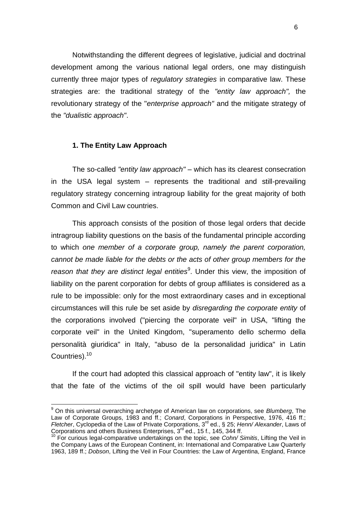Notwithstanding the different degrees of legislative, judicial and doctrinal development among the various national legal orders, one may distinguish currently three major types of *regulatory strategies* in comparative law. These strategies are: the traditional strategy of the *"entity law approach",* the revolutionary strategy of the "*enterprise approach"* and the mitigate strategy of the *"dualistic approach"*.

#### **1. The Entity Law Approach**

 $\overline{\phantom{a}}$ 

The so-called *"entity law approach"* – which has its clearest consecration in the USA legal system – represents the traditional and still-prevailing regulatory strategy concerning intragroup liability for the great majority of both Common and Civil Law countries.

This approach consists of the position of those legal orders that decide intragroup liability questions on the basis of the fundamental principle according to which *one member of a corporate group, namely the parent corporation, cannot be made liable for the debts or the acts of other group members for the*  reason that they are distinct legal entities<sup>9</sup>. Under this view, the imposition of liability on the parent corporation for debts of group affiliates is considered as a rule to be impossible: only for the most extraordinary cases and in exceptional circumstances will this rule be set aside by *disregarding the corporate entity* of the corporations involved ("piercing the corporate veil" in USA, "lifting the corporate veil" in the United Kingdom, "superamento dello schermo della personalità giuridica" in Italy, "abuso de la personalidad juridica" in Latin Countries).<sup>10</sup>

If the court had adopted this classical approach of "entity law", it is likely that the fate of the victims of the oil spill would have been particularly

<sup>9</sup> On this universal overarching archetype of American law on corporations, see *Blumberg*, The Law of Corporate Groups, 1983 and ff.; *Conard*, Corporations in Perspective, 1976, 416 ff.; *Fletcher*, Cyclopedia of the Law of Private Corporations, 3rd ed., § 25; *Henn/ Alexander*, Laws of Corporations and others Business Enterprises, 3<sup>rd</sup> ed., 15 f., 145, 344 ff.

<sup>10</sup> For curious legal-comparative undertakings on the topic, see *Cohn/ Simitis*, Lifting the Veil in the Company Laws of the European Continent, in: International and Comparative Law Quarterly 1963, 189 ff.; *Dobson*, Lifting the Veil in Four Countries: the Law of Argentina, England, France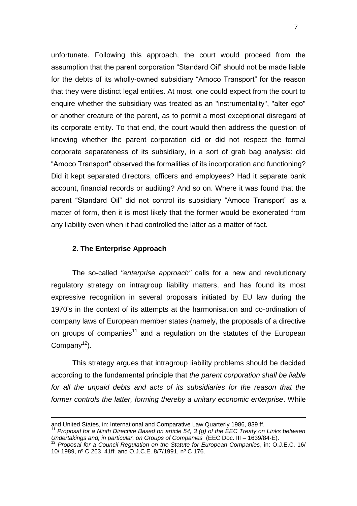unfortunate. Following this approach, the court would proceed from the assumption that the parent corporation "Standard Oil" should not be made liable for the debts of its wholly-owned subsidiary "Amoco Transport" for the reason that they were distinct legal entities. At most, one could expect from the court to enquire whether the subsidiary was treated as an "instrumentality", "alter ego" or another creature of the parent, as to permit a most exceptional disregard of its corporate entity. To that end, the court would then address the question of knowing whether the parent corporation did or did not respect the formal corporate separateness of its subsidiary, in a sort of grab bag analysis: did "Amoco Transport" observed the formalities of its incorporation and functioning? Did it kept separated directors, officers and employees? Had it separate bank account, financial records or auditing? And so on. Where it was found that the parent "Standard Oil" did not control its subsidiary "Amoco Transport" as a matter of form, then it is most likely that the former would be exonerated from any liability even when it had controlled the latter as a matter of fact.

#### **2. The Enterprise Approach**

-

The so-called *"enterprise approach"* calls for a new and revolutionary regulatory strategy on intragroup liability matters, and has found its most expressive recognition in several proposals initiated by EU law during the 1970's in the context of its attempts at the harmonisation and co-ordination of company laws of European member states (namely, the proposals of a directive on groups of companies<sup>11</sup> and a regulation on the statutes of the European Company<sup>12</sup>).

This strategy argues that intragroup liability problems should be decided according to the fundamental principle that *the parent corporation shall be liable*  for all the unpaid debts and acts of its subsidiaries for the reason that the *former controls the latter, forming thereby a unitary economic enterprise*. While

and United States, in: International and Comparative Law Quarterly 1986, 839 ff.

<sup>11</sup> *Proposal for a Ninth Directive Based on article 54, 3 (g) of the EEC Treaty on Links between Undertakings and, in particular, on Groups of Companies* (EEC Doc. III – 1639/84-E).

<sup>12</sup> *Proposal for a Council Regulation on the Statute for European Companies*, in: O.J.E.C. 16/ 10/ 1989, nº C 263, 41ff. and O.J.C.E. 8/7/1991, nº C 176.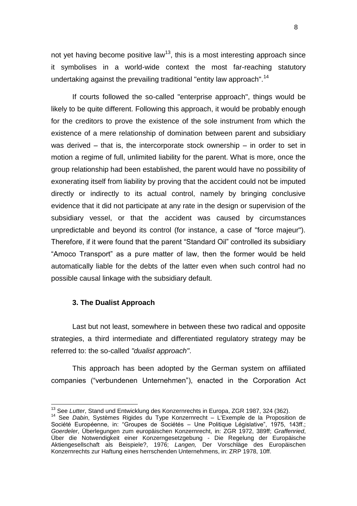not yet having become positive law<sup>13</sup>, this is a most interesting approach since it symbolises in a world-wide context the most far-reaching statutory undertaking against the prevailing traditional "entity law approach".<sup>14</sup>

If courts followed the so-called "enterprise approach", things would be likely to be quite different. Following this approach, it would be probably enough for the creditors to prove the existence of the sole instrument from which the existence of a mere relationship of domination between parent and subsidiary was derived – that is, the intercorporate stock ownership – in order to set in motion a regime of full, unlimited liability for the parent. What is more, once the group relationship had been established, the parent would have no possibility of exonerating itself from liability by proving that the accident could not be imputed directly or indirectly to its actual control, namely by bringing conclusive evidence that it did not participate at any rate in the design or supervision of the subsidiary vessel, or that the accident was caused by circumstances unpredictable and beyond its control (for instance, a case of "force majeur"). Therefore, if it were found that the parent "Standard Oil" controlled its subsidiary "Amoco Transport" as a pure matter of law, then the former would be held automatically liable for the debts of the latter even when such control had no possible causal linkage with the subsidiary default.

#### **3. The Dualist Approach**

 $\overline{\phantom{a}}$ 

Last but not least, somewhere in between these two radical and opposite strategies, a third intermediate and differentiated regulatory strategy may be referred to: the so-called *"dualist approach"*.

This approach has been adopted by the German system on affiliated companies ("verbundenen Unternehmen"), enacted in the Corporation Act

<sup>&</sup>lt;sup>13</sup> See *Lutter*, Stand und Entwicklung des Konzernrechts in Europa, ZGR 1987, 324 (362).

<sup>14</sup> See *Dabin*, Systèmes Rigides du Type Konzernrecht – L'Exemple de la Proposition de Société Européenne, in: "Groupes de Sociétés – Une Politique Législative", 1975, 143ff.; *Goerdeler*, Überlegungen zum europäischen Konzernrecht, in: ZGR 1972, 389ff; *Graffenried*, Über die Notwendigkeit einer Konzerngesetzgebung - Die Regelung der Europäische Aktiengesellschaft als Beispiele?, 1976; *Langen,* Der Vorschläge des Europäischen Konzernrechts zur Haftung eines herrschenden Unternehmens, in: ZRP 1978, 10ff.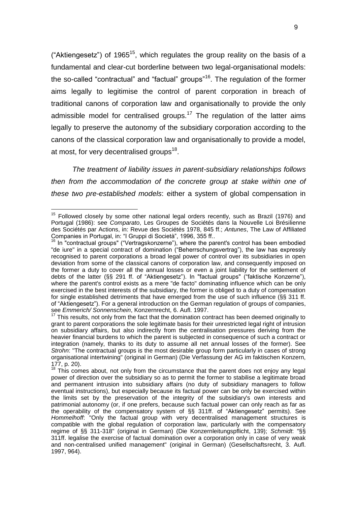("Aktiengesetz") of 1965<sup>15</sup>, which regulates the group reality on the basis of a fundamental and clear-cut borderline between two legal-organisational models: the so-called "contractual" and "factual" groups"<sup>16</sup>. The regulation of the former aims legally to legitimise the control of parent corporation in breach of traditional canons of corporation law and organisationally to provide the only admissible model for centralised groups.<sup>17</sup> The regulation of the latter aims legally to preserve the autonomy of the subsidiary corporation according to the canons of the classical corporation law and organisationally to provide a model, at most, for very decentralised groups<sup>18</sup>.

*The treatment of liability issues in parent-subsidiary relationships follows then from the accommodation of the concrete group at stake within one of these two pre-established models*: either a system of global compensation in

 $15$  Followed closely by some other national legal orders recently, such as Brazil (1976) and Portugal (1986): see *Comparato*, Les Groupes de Sociétés dans la Nouvelle Loi Brésilienne des Sociétés par Actions, in: Revue des Sociétés 1978, 845 ff.; *Antunes*, The Law of Affiliated Companies in Portugal, in: "I Gruppi di Società", 1996, 355 ff..

In "contractual groups" ("Vertragskonzerne"), where the parent's control has been embodied "de iure" in a special contract of domination ("Beherrschungsvertrag"), the law has expressly recognised to parent corporations a broad legal power of control over its subsidiaries in open deviation from some of the classical canons of corporation law, and consequently imposed on the former a duty to cover all the annual losses or even a joint liability for the settlement of debts of the latter (§§ 291 ff. of "Aktiengesetz"). In "factual groups" ("faktische Konzerne"), where the parent's control exists as a mere "de facto" dominating influence which can be only exercised in the best interests of the subsidiary, the former is obliged to a duty of compensation for single established detriments that have emerged from the use of such influence (§§ 311 ff. of "Aktiengesetz"). For a general introduction on the German regulation of groups of companies, see *Emmerich/ Sonnenschein*, Konzernrecht, 6. Aufl. 1997.

This results, not only from the fact that the domination contract has been deemed originally to grant to parent corporations the sole legitimate basis for their unrestricted legal right of intrusion on subsidiary affairs, but also indirectly from the centralisation pressures deriving from the heavier financial burdens to which the parent is subjected in consequence of such a contract or integration (namely, thanks to its duty to assume all net annual losses of the former). See *Strohn*: "The contractual groups is the most desirable group form particularly in cases of strong organisational intertwining" (original in German) (Die Verfassung der AG im faktischen Konzern, 177, p. 20).

 $18$  This comes about, not only from the circumstance that the parent does not enjoy any legal power of direction over the subsidiary so as to permit the former to stabilise a legitimate broad and permanent intrusion into subsidiary affairs (no duty of subsidiary managers to follow eventual instructions), but especially because its factual power can be only be exercised within the limits set by the preservation of the integrity of the subsidiary's own interests and patrimonial autonomy (or, if one prefers, because such factual power can only reach as far as the operability of the compensatory system of §§ 311ff. of "Aktiengesetz" permits). See *Hommelhoff*: "Only the factual group with very decentralised management structures is compatible with the global regulation of corporation law, particularly with the compensatory regime of §§ 311-318" (original in German) (Die Konzernleitungspflicht, 139); *Schmidt*: "§§ 311ff. legalise the exercise of factual domination over a corporation only in case of very weak and non-centralised unified management" (original in German) (Gesellschaftsrecht, 3. Aufl. 1997, 964).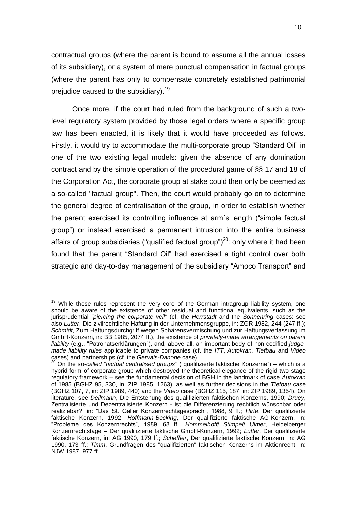contractual groups (where the parent is bound to assume all the annual losses of its subsidiary), or a system of mere punctual compensation in factual groups (where the parent has only to compensate concretely established patrimonial prejudice caused to the subsidiary).<sup>19</sup>

Once more, if the court had ruled from the background of such a twolevel regulatory system provided by those legal orders where a specific group law has been enacted, it is likely that it would have proceeded as follows. Firstly, it would try to accommodate the multi-corporate group "Standard Oil" in one of the two existing legal models: given the absence of any domination contract and by the simple operation of the procedural game of §§ 17 and 18 of the Corporation Act, the corporate group at stake could then only be deemed as a so-called "factual group". Then, the court would probably go on to determine the general degree of centralisation of the group, in order to establish whether the parent exercised its controlling influence at arm´s length ("simple factual group") or instead exercised a permanent intrusion into the entire business affairs of group subsidiaries ("qualified factual group") $^{20}$ : only where it had been found that the parent "Standard Oil" had exercised a tight control over both strategic and day-to-day management of the subsidiary "Amoco Transport" and

 $\overline{a}$ 

<sup>&</sup>lt;sup>19</sup> While these rules represent the very core of the German intragroup liability system, one should be aware of the existence of other residual and functional equivalents, such as the jurisprudential *"piercing the corporate veil"* (cf. the *Herrstadt* and the *Sonnenring* cases: see also *Lutter*, Die zivilrechtliche Haftung in der Unternehmensgruppe, in: ZGR 1982, 244 (247 ff.); *Schmidt*, Zum Haftungsdurchgriff wegen Sphärensvermischung und zur Haftungsverfassung im GmbH-Konzern, in: BB 1985, 2074 ff.), the existence of *privately-made arrangements on parent liability* (e.g., "Patronatserklärungen"), and, above all, an important body of non-codified *judgemade liability rules* applicable to private companies (cf. the *ITT*, *Autokran, Tiefbau* and *Video* cases) and partnerships (cf. the *Gervais-Danone* case).

<sup>20</sup> On the so-*called "factual centralised groups"* ("qualifizierte faktische Konzerne") – which is a hybrid form of corporate group which destroyed the theoretical elegance of the rigid two-stage regulatory framework – see the fundamental decision of BGH in the landmark of case *Autokran* of 1985 (BGHZ 95, 330, in: ZIP 1985, 1263), as well as further decisions in the *Tiefbau* case (BGHZ 107, 7, in: ZIP 1989, 440) and the *Video* case (BGHZ 115, 187, in: ZIP 1989, 1354). On literature, see *Deilmann*, Die Entstehung des qualifizierten faktischen Konzerns, 1990; *Druey*, Zentralisierte und Dezentralisierte Konzern - ist die Differenzierung rechtlich wünschbar oder realiziebar?, in: "Das St. Galler Konzernrechtsgespräch", 1988, 9 ff.; *Hirte*, Der qualifizierte faktische Konzern, 1992; *Hoffmann*-*Becking*, Der qualifizierte faktische AG-Konzern, in: "Probleme des Konzernrechts", 1989, 68 ff.; *Hommelhoff*/ *Stimpel*/ *Ulmer*, Heidelberger Konzernrechtstage – Der qualifizierte faktische GmbH-Konzern, 1992; *Lutter*, Der qualifizierte faktische Konzern, in: AG 1990, 179 ff.; *Scheffler*, Der qualifizierte faktische Konzern, in: AG 1990, 173 ff.; *Timm*, Grundfragen des "qualifizierten" faktischen Konzerns im Aktienrecht, in: NJW 1987, 977 ff.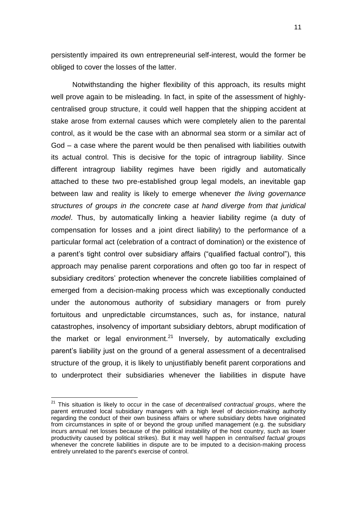persistently impaired its own entrepreneurial self-interest, would the former be obliged to cover the losses of the latter.

Notwithstanding the higher flexibility of this approach, its results might well prove again to be misleading. In fact, in spite of the assessment of highlycentralised group structure, it could well happen that the shipping accident at stake arose from external causes which were completely alien to the parental control, as it would be the case with an abnormal sea storm or a similar act of God – a case where the parent would be then penalised with liabilities outwith its actual control. This is decisive for the topic of intragroup liability. Since different intragroup liability regimes have been rigidly and automatically attached to these two pre-established group legal models, an inevitable gap between law and reality is likely to emerge whenever *the living governance structures of groups in the concrete case at hand diverge from that juridical model*. Thus, by automatically linking a heavier liability regime (a duty of compensation for losses and a joint direct liability) to the performance of a particular formal act (celebration of a contract of domination) or the existence of a parent's tight control over subsidiary affairs ("qualified factual control"), this approach may penalise parent corporations and often go too far in respect of subsidiary creditors' protection whenever the concrete liabilities complained of emerged from a decision-making process which was exceptionally conducted under the autonomous authority of subsidiary managers or from purely fortuitous and unpredictable circumstances, such as, for instance, natural catastrophes, insolvency of important subsidiary debtors, abrupt modification of the market or legal environment.<sup>21</sup> Inversely, by automatically excluding parent's liability just on the ground of a general assessment of a decentralised structure of the group, it is likely to unjustifiably benefit parent corporations and to underprotect their subsidiaries whenever the liabilities in dispute have

<sup>21</sup> This situation is likely to occur in the case of *decentralised contractual groups*, where the parent entrusted local subsidiary managers with a high level of decision-making authority regarding the conduct of their own business affairs or where subsidiary debts have originated from circumstances in spite of or beyond the group unified management (e.g. the subsidiary incurs annual net losses because of the political instability of the host country, such as lower productivity caused by political strikes). But it may well happen in *centralised factual groups* whenever the concrete liabilities in dispute are to be imputed to a decision-making process entirely unrelated to the parent's exercise of control.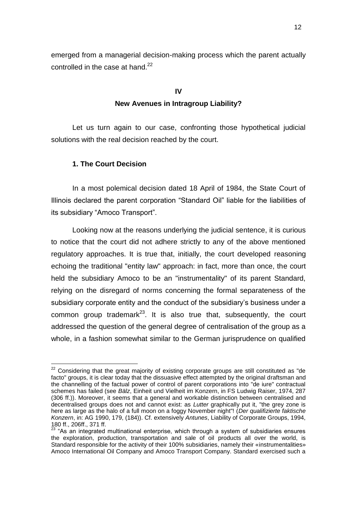emerged from a managerial decision-making process which the parent actually controlled in the case at hand.<sup>22</sup>

# **IV New Avenues in Intragroup Liability?**

Let us turn again to our case, confronting those hypothetical judicial solutions with the real decision reached by the court.

### **1. The Court Decision**

In a most polemical decision dated 18 April of 1984, the State Court of Illinois declared the parent corporation "Standard Oil" liable for the liabilities of its subsidiary "Amoco Transport".

Looking now at the reasons underlying the judicial sentence, it is curious to notice that the court did not adhere strictly to any of the above mentioned regulatory approaches. It is true that, initially, the court developed reasoning echoing the traditional "entity law" approach: in fact, more than once, the court held the subsidiary Amoco to be an "instrumentality" of its parent Standard, relying on the disregard of norms concerning the formal separateness of the subsidiary corporate entity and the conduct of the subsidiary's business under a common group trademark<sup>23</sup>. It is also true that, subsequently, the court addressed the question of the general degree of centralisation of the group as a whole, in a fashion somewhat similar to the German jurisprudence on qualified

 $\overline{a}$  $22$  Considering that the great majority of existing corporate groups are still constituted as "de facto" groups, it is clear today that the dissuasive effect attempted by the original draftsman and the channelling of the factual power of control of parent corporations into "de iure" contractual schemes has failed (see *Bälz*, Einheit und Vielheit im Konzern, in FS Ludwig Raiser, 1974, 287 (306 ff.)). Moreover, it seems that a general and workable distinction between centralised and decentralised groups does not and cannot exist: as *Lutter* graphically put it, "the grey zone is here as large as the halo of a full moon on a foggy November night"! (*Der qualifizierte faktische Konzern*, in: AG 1990, 179, (184)). Cf. extensively *Antunes*, Liability of Corporate Groups, 1994, 180 ff., 206ff., 371 ff.

 $23$  "As an integrated multinational enterprise, which through a system of subsidiaries ensures the exploration, production, transportation and sale of oil products all over the world, is Standard responsible for the activity of their 100% subsidiaries, namely their «instrumentalities» Amoco International Oil Company and Amoco Transport Company. Standard exercised such a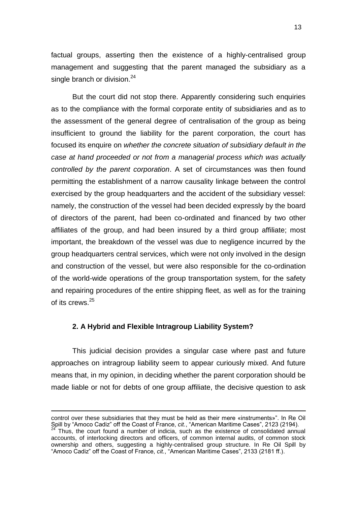factual groups, asserting then the existence of a highly-centralised group management and suggesting that the parent managed the subsidiary as a single branch or division. $^{24}$ 

But the court did not stop there. Apparently considering such enquiries as to the compliance with the formal corporate entity of subsidiaries and as to the assessment of the general degree of centralisation of the group as being insufficient to ground the liability for the parent corporation, the court has focused its enquire on *whether the concrete situation of subsidiary default in the case at hand proceeded or not from a managerial process which was actually controlled by the parent corporation*. A set of circumstances was then found permitting the establishment of a narrow causality linkage between the control exercised by the group headquarters and the accident of the subsidiary vessel: namely, the construction of the vessel had been decided expressly by the board of directors of the parent, had been co-ordinated and financed by two other affiliates of the group, and had been insured by a third group affiliate; most important, the breakdown of the vessel was due to negligence incurred by the group headquarters central services, which were not only involved in the design and construction of the vessel, but were also responsible for the co-ordination of the world-wide operations of the group transportation system, for the safety and repairing procedures of the entire shipping fleet, as well as for the training of its crews.<sup>25</sup>

#### **2. A Hybrid and Flexible Intragroup Liability System?**

-

This judicial decision provides a singular case where past and future approaches on intragroup liability seem to appear curiously mixed. And future means that, in my opinion, in deciding whether the parent corporation should be made liable or not for debts of one group affiliate, the decisive question to ask

control over these subsidiaries that they must be held as their mere «instruments»". In Re Oil Spill by "Amoco Cadiz" off the Coast of France, *cit.*, "American Maritime Cases", 2123 (2194). Thus, the court found a number of indicia, such as the existence of consolidated annual accounts, of interlocking directors and officers, of common internal audits, of common stock ownership and others, suggesting a highly-centralised group structure. In Re Oil Spill by "Amoco Cadiz" off the Coast of France, *cit.*, "American Maritime Cases", 2133 (2181 ff.).